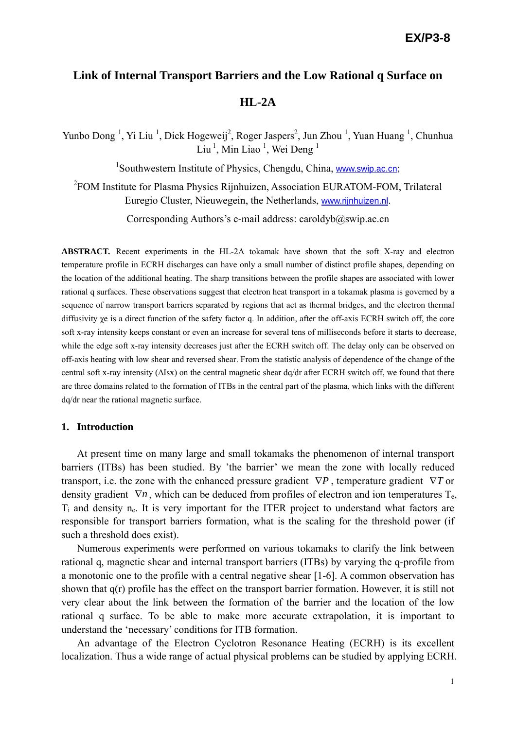# **Link of Internal Transport Barriers and the Low Rational q Surface on HL-2A**

Yunbo Dong<sup>1</sup>, Yi Liu<sup>1</sup>, Dick Hogeweij<sup>2</sup>, Roger Jaspers<sup>2</sup>, Jun Zhou<sup>1</sup>, Yuan Huang<sup>1</sup>, Chunhua  $\text{Liu}^1$ , Min Liao<sup>1</sup>, Wei Deng<sup>1</sup>

<sup>1</sup>Southwestern Institute of Physics, Chengdu, China, www.swip.ac.cn;

<sup>2</sup>FOM Institute for Plasma Physics Rijnhuizen, Association EURATOM-FOM, Trilateral Euregio Cluster, Nieuwegein, the Netherlands, www.rijnhuizen.nl.

Corresponding Authors's e-mail address: caroldyb@swip.ac.cn

**ABSTRACT.** Recent experiments in the HL-2A tokamak have shown that the soft X-ray and electron temperature profile in ECRH discharges can have only a small number of distinct profile shapes, depending on the location of the additional heating. The sharp transitions between the profile shapes are associated with lower rational q surfaces. These observations suggest that electron heat transport in a tokamak plasma is governed by a sequence of narrow transport barriers separated by regions that act as thermal bridges, and the electron thermal diffusivity χe is a direct function of the safety factor q. In addition, after the off-axis ECRH switch off, the core soft x-ray intensity keeps constant or even an increase for several tens of milliseconds before it starts to decrease, while the edge soft x-ray intensity decreases just after the ECRH switch off. The delay only can be observed on off-axis heating with low shear and reversed shear. From the statistic analysis of dependence of the change of the central soft x-ray intensity (ΔIsx) on the central magnetic shear dq/dr after ECRH switch off, we found that there are three domains related to the formation of ITBs in the central part of the plasma, which links with the different dq/dr near the rational magnetic surface.

#### **1. Introduction**

At present time on many large and small tokamaks the phenomenon of internal transport barriers (ITBs) has been studied. By 'the barrier' we mean the zone with locally reduced transport, i.e. the zone with the enhanced pressure gradient ∇*P* , temperature gradient ∇*T* or density gradient  $\nabla n$ , which can be deduced from profiles of electron and ion temperatures  $T_e$ ,  $T_i$  and density n<sub>e</sub>. It is very important for the ITER project to understand what factors are responsible for transport barriers formation, what is the scaling for the threshold power (if such a threshold does exist).

Numerous experiments were performed on various tokamaks to clarify the link between rational q, magnetic shear and internal transport barriers (ITBs) by varying the q-profile from a monotonic one to the profile with a central negative shear [1-6]. A common observation has shown that q(r) profile has the effect on the transport barrier formation. However, it is still not very clear about the link between the formation of the barrier and the location of the low rational q surface. To be able to make more accurate extrapolation, it is important to understand the 'necessary' conditions for ITB formation.

An advantage of the Electron Cyclotron Resonance Heating (ECRH) is its excellent localization. Thus a wide range of actual physical problems can be studied by applying ECRH.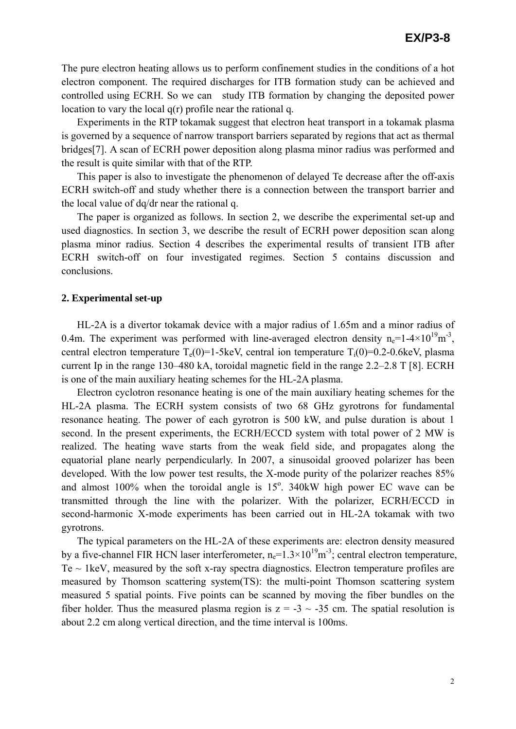The pure electron heating allows us to perform confinement studies in the conditions of a hot electron component. The required discharges for ITB formation study can be achieved and controlled using ECRH. So we can study ITB formation by changing the deposited power location to vary the local  $q(r)$  profile near the rational q.

Experiments in the RTP tokamak suggest that electron heat transport in a tokamak plasma is governed by a sequence of narrow transport barriers separated by regions that act as thermal bridges[7]. A scan of ECRH power deposition along plasma minor radius was performed and the result is quite similar with that of the RTP.

This paper is also to investigate the phenomenon of delayed Te decrease after the off-axis ECRH switch-off and study whether there is a connection between the transport barrier and the local value of dq/dr near the rational q.

The paper is organized as follows. In section 2, we describe the experimental set-up and used diagnostics. In section 3, we describe the result of ECRH power deposition scan along plasma minor radius. Section 4 describes the experimental results of transient ITB after ECRH switch-off on four investigated regimes. Section 5 contains discussion and conclusions.

#### **2. Experimental set-up**

HL-2A is a divertor tokamak device with a major radius of 1.65m and a minor radius of 0.4m. The experiment was performed with line-averaged electron density  $n_e=1-4\times10^{19}$ m<sup>-3</sup>, central electron temperature  $T_e(0)=1-5keV$ , central ion temperature  $T_i(0)=0.2-0.6keV$ , plasma current Ip in the range 130–480 kA, toroidal magnetic field in the range 2.2–2.8 T [8]. ECRH is one of the main auxiliary heating schemes for the HL-2A plasma.

Electron cyclotron resonance heating is one of the main auxiliary heating schemes for the HL-2A plasma. The ECRH system consists of two 68 GHz gyrotrons for fundamental resonance heating. The power of each gyrotron is 500 kW, and pulse duration is about 1 second. In the present experiments, the ECRH/ECCD system with total power of 2 MW is realized. The heating wave starts from the weak field side, and propagates along the equatorial plane nearly perpendicularly. In 2007, a sinusoidal grooved polarizer has been developed. With the low power test results, the X-mode purity of the polarizer reaches 85% and almost  $100\%$  when the toroidal angle is  $15^\circ$ . 340kW high power EC wave can be transmitted through the line with the polarizer. With the polarizer, ECRH/ECCD in second-harmonic X-mode experiments has been carried out in HL-2A tokamak with two gyrotrons.

The typical parameters on the HL-2A of these experiments are: electron density measured by a five-channel FIR HCN laser interferometer,  $n_e=1.3\times10^{19}$ m<sup>-3</sup>; central electron temperature, Te  $\sim$  1keV, measured by the soft x-ray spectra diagnostics. Electron temperature profiles are measured by Thomson scattering system(TS): the multi-point Thomson scattering system measured 5 spatial points. Five points can be scanned by moving the fiber bundles on the fiber holder. Thus the measured plasma region is  $z = -3 \sim -35$  cm. The spatial resolution is about 2.2 cm along vertical direction, and the time interval is 100ms.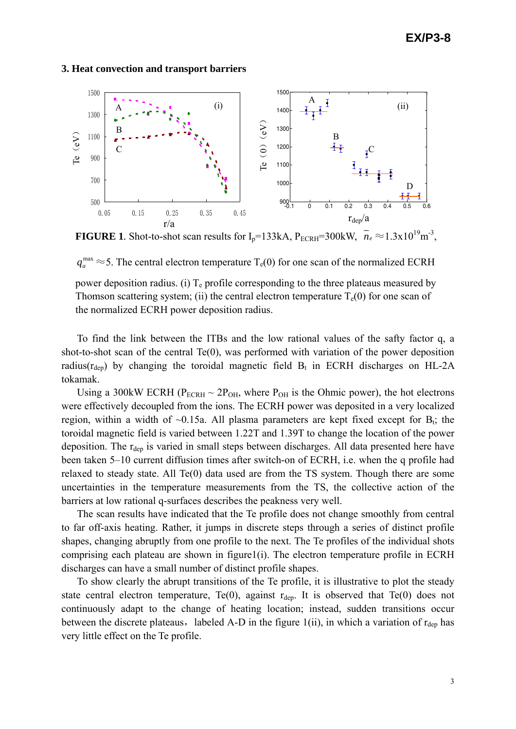#### **3. Heat convection and transport barriers**



**FIGURE 1.** Shot-to-shot scan results for  $I_p=133kA$ ,  $P_{ECRH}=300kW$ ,  $\bar{n}_e \approx 1.3x10^{19} \text{m}^{-3}$ ,

 $q_a^{\text{max}} \approx 5$ . The central electron temperature  $T_e(0)$  for one scan of the normalized ECRH

power deposition radius. (i)  $T_e$  profile corresponding to the three plateaus measured by Thomson scattering system; (ii) the central electron temperature  $T_e(0)$  for one scan of the normalized ECRH power deposition radius.

To find the link between the ITBs and the low rational values of the safty factor q, a shot-to-shot scan of the central  $Te(0)$ , was performed with variation of the power deposition radius( $r_{dep}$ ) by changing the toroidal magnetic field  $B_t$  in ECRH discharges on HL-2A tokamak.

Using a 300kW ECRH ( $P_{ECRH} \sim 2P_{OH}$ , where  $P_{OH}$  is the Ohmic power), the hot electrons were effectively decoupled from the ions. The ECRH power was deposited in a very localized region, within a width of  $\sim 0.15a$ . All plasma parameters are kept fixed except for  $B_t$ ; the toroidal magnetic field is varied between 1.22T and 1.39T to change the location of the power deposition. The  $r_{dep}$  is varied in small steps between discharges. All data presented here have been taken 5–10 current diffusion times after switch-on of ECRH, i.e. when the q profile had relaxed to steady state. All Te(0) data used are from the TS system. Though there are some uncertainties in the temperature measurements from the TS, the collective action of the barriers at low rational q-surfaces describes the peakness very well.

The scan results have indicated that the Te profile does not change smoothly from central to far off-axis heating. Rather, it jumps in discrete steps through a series of distinct profile shapes, changing abruptly from one profile to the next. The Te profiles of the individual shots comprising each plateau are shown in figure $1(i)$ . The electron temperature profile in ECRH discharges can have a small number of distinct profile shapes.

To show clearly the abrupt transitions of the Te profile, it is illustrative to plot the steady state central electron temperature, Te(0), against  $r_{dep}$ . It is observed that Te(0) does not continuously adapt to the change of heating location; instead, sudden transitions occur between the discrete plateaus, labeled A-D in the figure  $1(ii)$ , in which a variation of  $r_{dep}$  has very little effect on the Te profile.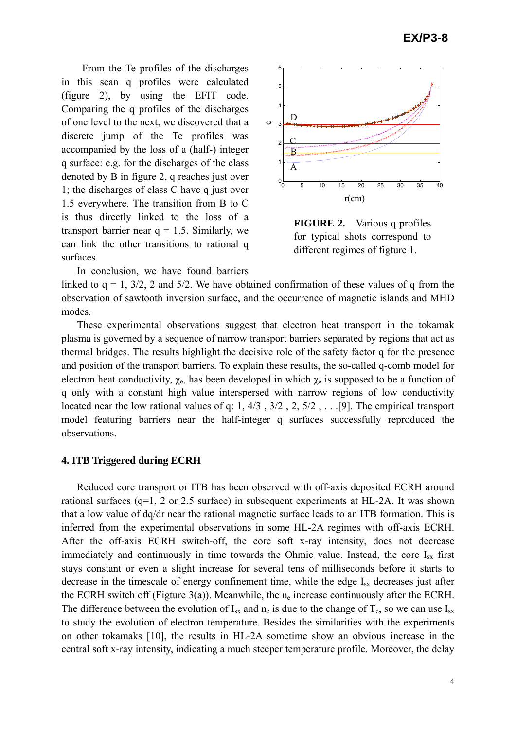From the Te profiles of the discharges in this scan q profiles were calculated (figure 2), by using the EFIT code. Comparing the q profiles of the discharges of one level to the next, we discovered that a discrete jump of the Te profiles was accompanied by the loss of a (half-) integer q surface: e.g. for the discharges of the class denoted by B in figure 2, q reaches just over 1; the discharges of class C have q just over 1.5 everywhere. The transition from B to C is thus directly linked to the loss of a transport barrier near  $q = 1.5$ . Similarly, we can link the other transitions to rational q surfaces.

In conclusion, we have found barriers



**FIGURE 2.** Various q profiles for typical shots correspond to different regimes of figture 1.

linked to  $q = 1$ ,  $3/2$ , 2 and  $5/2$ . We have obtained confirmation of these values of q from the observation of sawtooth inversion surface, and the occurrence of magnetic islands and MHD modes.

These experimental observations suggest that electron heat transport in the tokamak plasma is governed by a sequence of narrow transport barriers separated by regions that act as thermal bridges. The results highlight the decisive role of the safety factor q for the presence and position of the transport barriers. To explain these results, the so-called q-comb model for electron heat conductivity,  $\chi_e$ , has been developed in which  $\chi_e$  is supposed to be a function of q only with a constant high value interspersed with narrow regions of low conductivity located near the low rational values of q: 1, 4/3 , 3/2 , 2, 5/2 , . . .[9]. The empirical transport model featuring barriers near the half-integer q surfaces successfully reproduced the observations.

### **4. ITB Triggered during ECRH**

Reduced core transport or ITB has been observed with off-axis deposited ECRH around rational surfaces (q=1, 2 or 2.5 surface) in subsequent experiments at HL-2A. It was shown that a low value of dq/dr near the rational magnetic surface leads to an ITB formation. This is inferred from the experimental observations in some HL-2A regimes with off-axis ECRH. After the off-axis ECRH switch-off, the core soft x-ray intensity, does not decrease immediately and continuously in time towards the Ohmic value. Instead, the core  $I_{sx}$  first stays constant or even a slight increase for several tens of milliseconds before it starts to decrease in the timescale of energy confinement time, while the edge  $I_{sx}$  decreases just after the ECRH switch off (Figture 3(a)). Meanwhile, the  $n_e$  increase continuously after the ECRH. The difference between the evolution of  $I_{sx}$  and  $n_e$  is due to the change of  $T_e$ , so we can use  $I_{sx}$ to study the evolution of electron temperature. Besides the similarities with the experiments on other tokamaks [10], the results in HL-2A sometime show an obvious increase in the central soft x-ray intensity, indicating a much steeper temperature profile. Moreover, the delay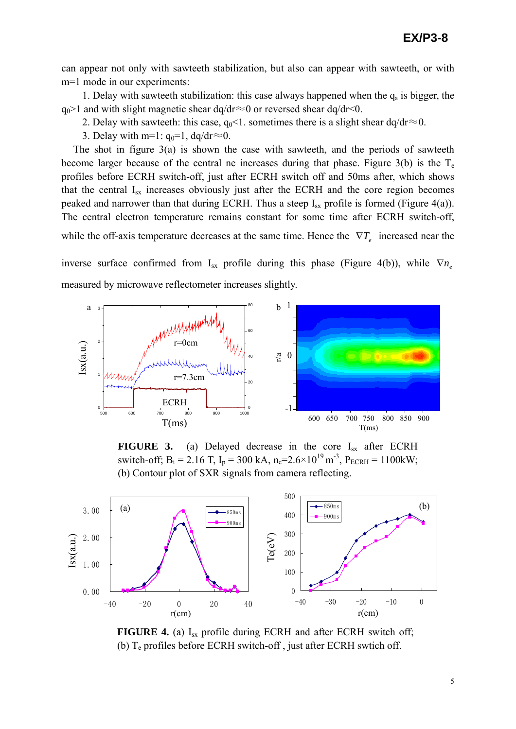can appear not only with sawteeth stabilization, but also can appear with sawteeth, or with m=1 mode in our experiments:

1. Delay with sawteeth stabilization: this case always happened when the  $q_a$  is bigger, the  $q_0$ >1 and with slight magnetic shear dq/dr≈0 or reversed shear dq/dr<0.

- 2. Delay with sawteeth: this case,  $q_0$ <1. sometimes there is a slight shear dq/dr≈0.
- 3. Delay with m=1:  $q_0=1$ ,  $dq/dr \approx 0$ .

The shot in figure 3(a) is shown the case with sawteeth, and the periods of sawteeth become larger because of the central ne increases during that phase. Figure  $3(b)$  is the T<sub>e</sub> profiles before ECRH switch-off, just after ECRH switch off and 50ms after, which shows that the central  $I_{sx}$  increases obviously just after the ECRH and the core region becomes peaked and narrower than that during ECRH. Thus a steep  $I_{sx}$  profile is formed (Figure 4(a)). The central electron temperature remains constant for some time after ECRH switch-off, while the off-axis temperature decreases at the same time. Hence the  $\nabla T$ <sub>*e*</sub> increased near the

inverse surface confirmed from I<sub>sx</sub> profile during this phase (Figure 4(b)), while  $\nabla n_e$ measured by microwave reflectometer increases slightly.



**FIGURE 3.** (a) Delayed decrease in the core  $I_{sx}$  after ECRH switch-off; B<sub>t</sub> = 2.16 T, I<sub>p</sub> = 300 kA, n<sub>e</sub>=2.6×10<sup>19</sup> m<sup>-3</sup>, P<sub>ECRH</sub> = 1100kW; (b) Contour plot of SXR signals from camera reflecting.



**FIGURE 4.** (a)  $I_{sx}$  profile during ECRH and after ECRH switch off; (b)  $T_e$  profiles before ECRH switch-off, just after ECRH swtich off.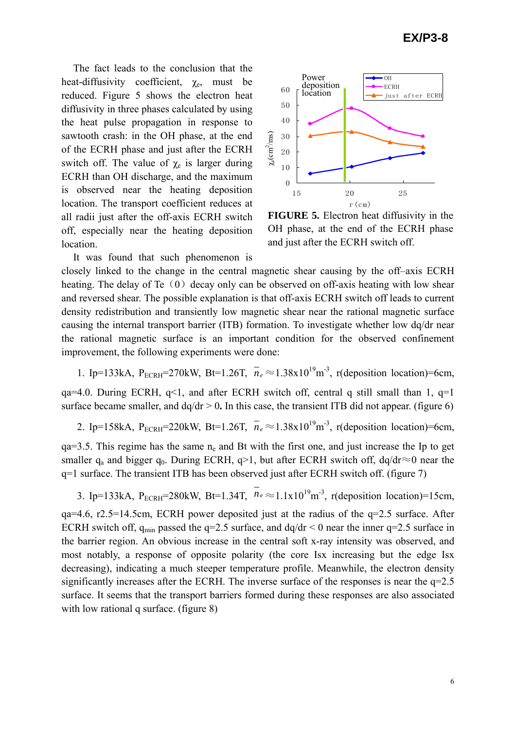The fact leads to the conclusion that the heat-diffusivity coefficient,  $\chi_e$ , must be reduced. Figure 5 shows the electron heat diffusivity in three phases calculated by using the heat pulse propagation in response to sawtooth crash: in the OH phase, at the end of the ECRH phase and just after the ECRH switch off. The value of  $\chi_e$  is larger during ECRH than OH discharge, and the maximum is observed near the heating deposition location. The transport coefficient reduces at all radii just after the off-axis ECRH switch off, especially near the heating deposition location.

It was found that such phenomenon is



**FIGURE 5.** Electron heat diffusivity in the OH phase, at the end of the ECRH phase and just after the ECRH switch off.

closely linked to the change in the central magnetic shear causing by the off–axis ECRH heating. The delay of Te $(0)$  decay only can be observed on off-axis heating with low shear and reversed shear. The possible explanation is that off-axis ECRH switch off leads to current density redistribution and transiently low magnetic shear near the rational magnetic surface causing the internal transport barrier (ITB) formation. To investigate whether low dq/dr near the rational magnetic surface is an important condition for the observed confinement improvement, the following experiments were done:

1. Ip=133kA, P<sub>ECRH</sub>=270kW, Bt=1.26T,  $n_e \approx 1.38 \times 10^{19}$ m<sup>-3</sup>, r(deposition location)=6cm,

qa=4.0. During ECRH,  $q<1$ , and after ECRH switch off, central q still small than 1,  $q=1$ surface became smaller, and  $dq/dr > 0$ . In this case, the transient ITB did not appear. (figure 6)

2. Ip=158kA, P<sub>ECRH</sub>=220kW, Bt=1.26T,  $n_e \approx 1.38 \times 10^{19}$ m<sup>-3</sup>, r(deposition location)=6cm,

 $qa=3.5$ . This regime has the same  $n_e$  and Bt with the first one, and just increase the Ip to get smaller  $q_a$  and bigger  $q_0$ . During ECRH,  $q>1$ , but after ECRH switch off, dq/dr≈0 near the q=1 surface. The transient ITB has been observed just after ECRH switch off. (figure 7)

3. Ip=133kA, P<sub>ECRH</sub>=280kW, Bt=1.34T,  $n_e \approx 1.1 \times 10^{19}$ m<sup>-3</sup>, r(deposition location)=15cm,

qa=4.6, r2.5=14.5cm, ECRH power deposited just at the radius of the q=2.5 surface. After ECRH switch off,  $q_{min}$  passed the q=2.5 surface, and dq/dr < 0 near the inner q=2.5 surface in the barrier region. An obvious increase in the central soft x-ray intensity was observed, and most notably, a response of opposite polarity (the core Isx increasing but the edge Isx decreasing), indicating a much steeper temperature profile. Meanwhile, the electron density significantly increases after the ECRH. The inverse surface of the responses is near the  $q=2.5$ surface. It seems that the transport barriers formed during these responses are also associated with low rational q surface. (figure 8)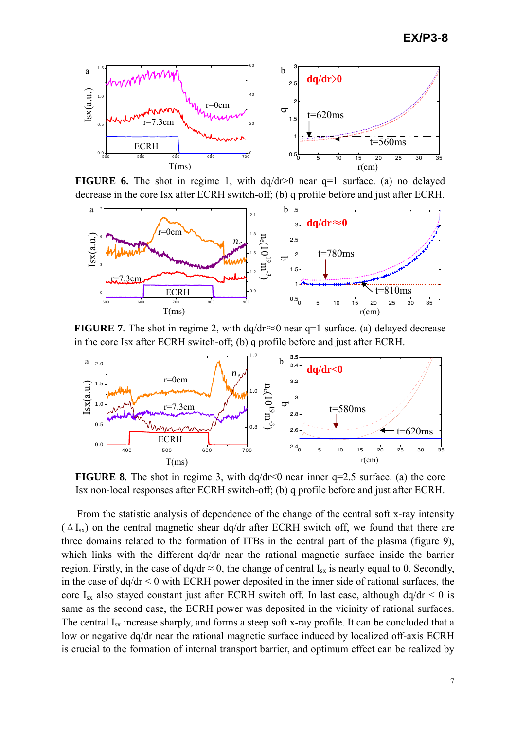

**FIGURE 6.** The shot in regime 1, with  $dq/dr>0$  near q=1 surface. (a) no delayed decrease in the core Isx after ECRH switch-off; (b) q profile before and just after ECRH.



**FIGURE 7**. The shot in regime 2, with  $dq/dr \approx 0$  near q=1 surface. (a) delayed decrease in the core Isx after ECRH switch-off; (b) q profile before and just after ECRH.



**FIGURE 8**. The shot in regime 3, with dq/dr<0 near inner q=2.5 surface. (a) the core Isx non-local responses after ECRH switch-off; (b) q profile before and just after ECRH.

From the statistic analysis of dependence of the change of the central soft x-ray intensity  $(\Delta I_{sx})$  on the central magnetic shear dq/dr after ECRH switch off, we found that there are three domains related to the formation of ITBs in the central part of the plasma (figure 9), which links with the different dq/dr near the rational magnetic surface inside the barrier region. Firstly, in the case of  $dq/dr \approx 0$ , the change of central  $I_{sx}$  is nearly equal to 0. Secondly, in the case of  $dq/dr < 0$  with ECRH power deposited in the inner side of rational surfaces, the core I<sub>sx</sub> also stayed constant just after ECRH switch off. In last case, although  $dq/dr < 0$  is same as the second case, the ECRH power was deposited in the vicinity of rational surfaces. The central  $I_{sx}$  increase sharply, and forms a steep soft x-ray profile. It can be concluded that a low or negative dq/dr near the rational magnetic surface induced by localized off-axis ECRH is crucial to the formation of internal transport barrier, and optimum effect can be realized by